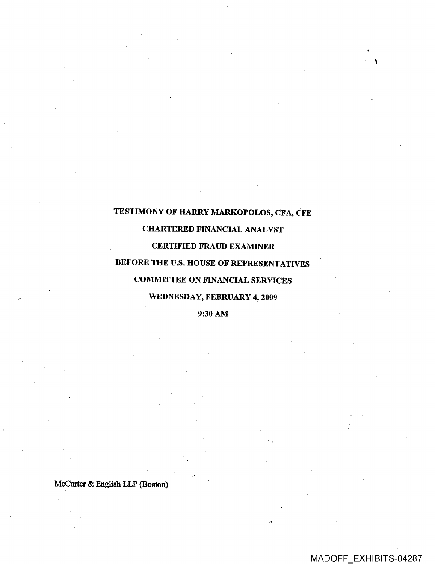# TESTIMONY OF HARRY MARKOPOLOS, CFA, CFE

# CHARTERED FINANCIAL ANALYST

## CERTIFIED FRAUD EXAMINER

# BEFORE THE U.S. HOUSE OF REPRESENTATIVES

# COMMITTEE ON FINANCIAL SERVICES

# WEDNESDAY, FEBRUARY 4, 2009

### 9:30 AM

McCarter & English LLP (Boston)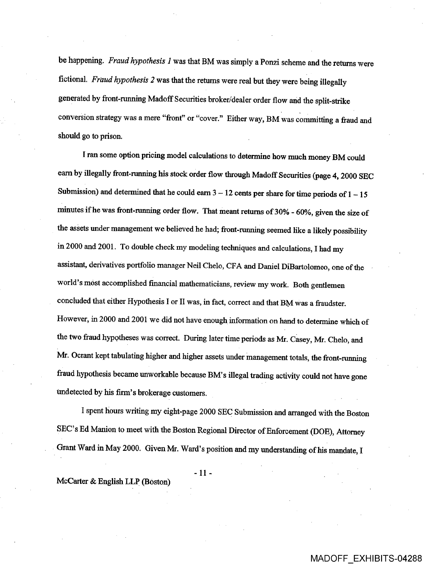be happening. Fraud hypothesis 1 was that BM was simply a Ponzi scheme and the returns were fictional. Fraud hypothesis 2 was that the returns were real but they were being illegally generated by front-running Madoff Securities broker/dealer order flow and the split-strike conversion strategy was a mere "front" or "cover." Either way, BM was committing a fraud and should go to prison.

I ran some option pricing model calculations todetermine how much money BM could earn by illegally front-running his stock order flow through Madoff Securities (page 4, 2000 SEC Submission) and determined that he could earn  $3 - 12$  cents per share for time periods of  $1 - 15$ minutes if he was front-running order flow. That meant returns of 30% - 60%, given the size of the assets under management we believed he had; front-running seemed like a likely possibility in 2000 and 2001. To double check my modeling techniques and calculations, I had my assistant, derivatives portfolio manager Neil Chelo, CFA and Daniel DiBartolomeo, one of the world's most accomplished financial mathematicians, review my work. Both gentlemen concluded that either Hypothesis I or II was, in fact, correct and that BM was a fraudster. However, in 2000 and 2001 we did not have enough information on hand to determine which of the two fraud hypotheses was correct. During later time periods as Mr. Casey, Mr. Chelo, and Mr. Ocrant kept tabulating higher and higher assets under management totals, the front-running fraud hypothesis became unworkable bcause BM's illegal trading activity could not have gone undetected by his firm's brokerage customers.

I spent hours writing my eight-page 2000 SEC Submission and arranged with the Boston SEC's Ed Manion to meet with the Boston Regional Director of Enforcement (DOE), Attorney Grant Ward in May 2000. Given Mr. Ward's position and my understanding of his mandate, I

-11-

McCarter & English LLP (Boston)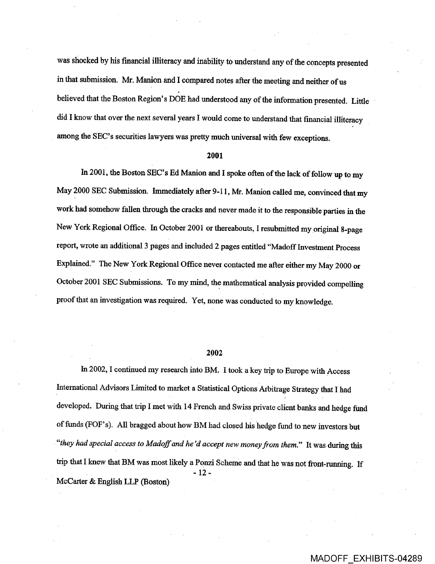was shocked by his financial illiteracy and inability to understand any of the concepts presented in that submission. Mr. Manion and I compared notes after the meeting and neither of us believed that the Boston Region's DOE had understood any of the information presented. Little did I know that over the next several years I would come to understand that financial illiteracy among the SEC's securities lawyers was pretty much universal with few exceptions.

#### 2001

In 2001, the Boston SEC's Ed Manion and I spoke often of the lack of follow up to my May 2000 SEC Submission. Immediately after 9-11, Mr. Manion called me, convinced that my work had somehow fallen through the cracks and never made it to the responsible parties in the New York Regional Office. In October 2001 or thereabouts, I resubmitted my original 8-page report, wrote an additional 3 pages and included 2 pages entitled "Madoff Investment Process Explained." The New York Regional Office never contacted me after either my May 2000 or October 2001 SEC Submissions. To my mind, the mathematical analysis provided compelling proof that an investigation was required. Yet, none was conducted to my knowledge.

#### 2002

In 2002, I continued my research into BM. I took a key trip to Europe with Access International Advisors Limited to market a Statistical Options Arbitrage Strategy that I had developed. During that trip I met with 14 French and Swiss private client banks and hedge fund of funds (FOF's). All bragged about how BM had closed his hedge fund to new investors but "they had special access to Madoff and he'd accept new money from them." It was during this trip that I knew that BM was most likely a Ponzi Scheme and that he was not front-running. If  $-12-$ McCarter & English LLP (Boston)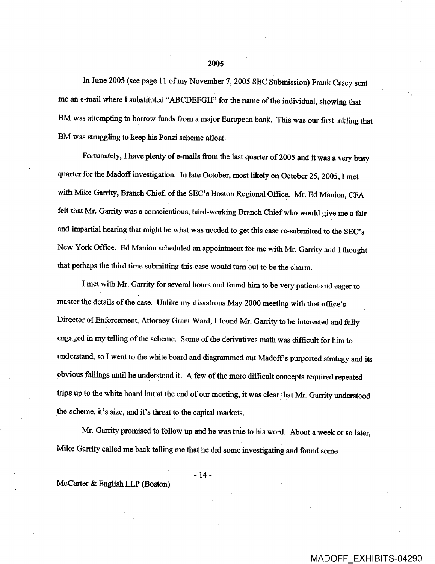In June 2005 (see page 11 of my November 7, 2005 SEC Submission) Frank Casey sent me an e-mail where I substituted "ABCDEFGH" for the name of the individual, showing that BM was attempting to borrow funds from a major European bank. This was our first inkling that BM was struggling to keep his Ponzi scheme afloat.

Fortunately, I have plenty of e-mails from the last quarter of 2005 and it was a very busy quarter for the Madoff investigation. In late October, most likely on October 25, 2005, I met with Mike Garrity, Branch Chief, of the SEC's Boston Regional Office. Mr. Ed Manion, CFA felt that Mr. Garrity was a conscientious, hard-working Branch Chief who would give me a fair and impartial hearing that might be what was needed to get this case re-submitted to the SEC's New York Office. Ed Manion scheduled an appointment for me with Mr. Garrity and I thought that perhaps the third time submitting thiscase would turn out to be the charm.

I met with Mr. Garrity for several hours and found him to be very patient and eager to master the details of the case. Unlike my disastrous May 2000 meeting with that office's Director of Enforcement, Attorney Grant Ward, I found Mr. Garrity to be interested and fully engaged in my telling of the scheme. Some of the derivatives math was difficult for him to understand, so I went to the white board and diagrammed out Madoff's purported strategy and its obvious failings until he understood it. A few of the more difficult concepts required repeated trips up to the white board butat the end of our meeting, it was clear that Mr. Garrity understood the scheme, it's size, and it's threat to the capital markets.

Mr. Garrity promised to follow up and he was true to his word. About a week or so later, Mike Garrity called me back telling me that he did some investigating and found some

-14-

McCarter & English LLP (Boston)

#### 2005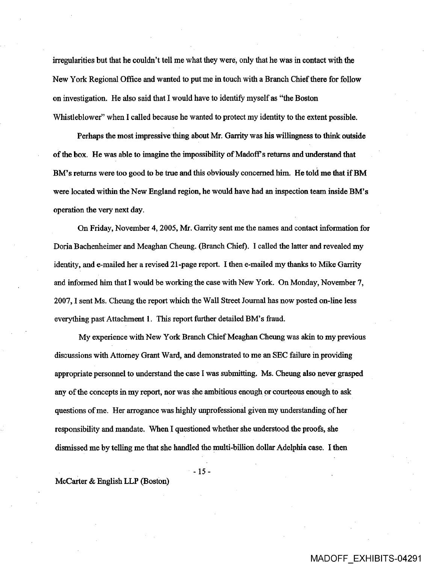irregularities but that he couldn't tell me what they were, only that he was in contact with the New York Regional Office and wanted to put me in touch with a Branch Chief there for follow on investigation. He also said that I would have to identify myself as "the Boston Whistleblower" when I called because he wanted to protect my identity to the extent possible.

Perhaps the most impressive thing about Mr. Garrity was his willingness to think outside of the box. He was able to imagine the impossibility of Madoff s returns and understand that BM's returns were too good to be true and this obviously concerned him. He told me that if BM were located within the New England region, he would have had an inspection team inside BM's operation the very next day.

On Friday, November 4, 2005, Mr. Garrity sent me the names and contact information for Doria Bachenheimer and Meaghan Cheung. (Branch Chief). I called the latter and revealed my identity, and e-mailed her a revised 21-page report. I then e-mailed my thanks to Mike Garrity and informed him that I would be working the case with New York. On Monday, November 7, 2007, 1 sent Ms. Cheung the report which the Wall Street Journal has now posted on-line less everything past Attachment 1. This report further detailed BM's fraud.

My experience with New York Branch Chief Meaghan Cheung was akin to my previous discussions with Attorney Grant Ward, and demonstrated tome an SEC failure in providing appropriate personnel to understand the case I was submitting. Ms. Cheung also never grasped any of the concepts in my report, nor was she ambitious enough or courteous enough to ask questions ofme. Her arrogance was highly unprofessionat given my understanding of her responsibility and mandate. When I questioned whether she understood the proofs, she dismissed me by telling me that she handled the multi-billion dollar Adelphia case. I then

-15-

McCarter & English LLP (Boston)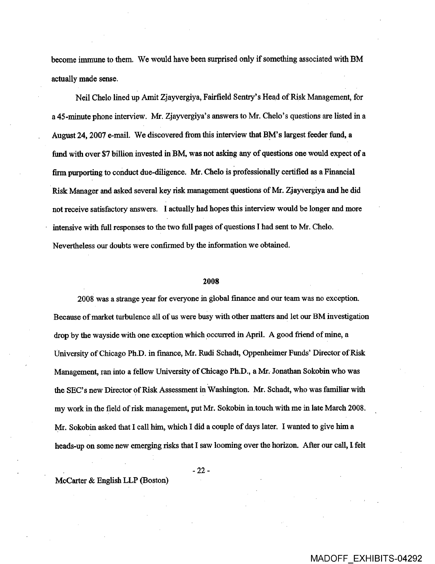become immune to them. We would have been surprised only if something associated with BM actually made sense.

Neil Chelo lined up Amit Zjayvergiya, Fairfield Sentry' s Head of Risk Management, for a 45-minute phone interview. Mr. Zjayvergiya's answers to Mr. Chelo's questions are listed in a August 24, 2007 e-mail. We discovered from this interview that BM's largest feeder fund, a fund with over \$7 billion invested in BM, was not asking any of questions one would expect of a firm purporting to conduct due-diligence. Mr. Chelo is professionally certified as a Financial Risk Manager and asked several key risk management questions of Mr. Zjayvergiya and he did not receive satisfactory answers. I actually had hopes this interview would be longer and more intensive with full responses to the two full pages of questions I had sent to Mr. Chelo. Nevertheless our doubts were confirmed by the information we obtained.

#### 2008

2008 was a strange year for everyone in global finance and our team was no exception. Because of market turbulence all of us were busy with other matters and let our BM investigation drop by the wayside with one exception which occurred in April. A good friend of mine, a University of Chicago Ph.D. in finance, Mr. Rudi Schadt, Oppenheimer Funds' Director of Risk Management, ran into a fellow University of Chicago Ph.D., a Mr. Jonathan Sokobin who was the SEC's new Director of Risk Assessment in Washington. Mr. Schadt, who was familiar with my work in the field of risk management, put Mr. Sokobin in.touch with me in late March 2008. Mr. Sokobin asked that I call him, which I did a couple of days later. I wanted to give him a heads-up on some new emerging risks that I saw looming over the horizon. After our call, I felt

-22-

 $McCarter & English LLP (Boston)$